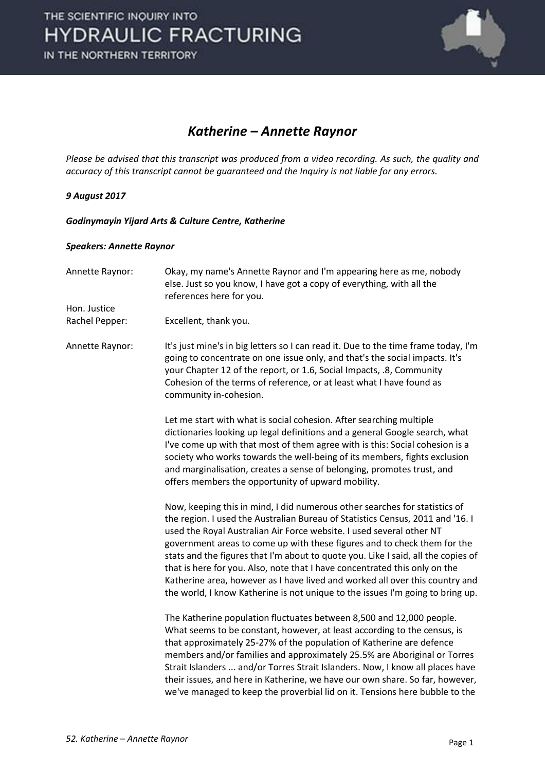

### *Katherine – Annette Raynor*

*Please be advised that this transcript was produced from a video recording. As such, the quality and accuracy of this transcript cannot be guaranteed and the Inquiry is not liable for any errors.* 

#### *9 August 2017*

*Godinymayin Yijard Arts & Culture Centre, Katherine* 

#### *Speakers: Annette Raynor*

| Annette Raynor: | Okay, my name's Annette Raynor and I'm appearing here as me, nobody<br>else. Just so you know, I have got a copy of everything, with all the<br>references here for you.                                                                                                                                                                                                                                                                                                                                                                                                                                                                              |
|-----------------|-------------------------------------------------------------------------------------------------------------------------------------------------------------------------------------------------------------------------------------------------------------------------------------------------------------------------------------------------------------------------------------------------------------------------------------------------------------------------------------------------------------------------------------------------------------------------------------------------------------------------------------------------------|
| Hon. Justice    |                                                                                                                                                                                                                                                                                                                                                                                                                                                                                                                                                                                                                                                       |
| Rachel Pepper:  | Excellent, thank you.                                                                                                                                                                                                                                                                                                                                                                                                                                                                                                                                                                                                                                 |
| Annette Raynor: | It's just mine's in big letters so I can read it. Due to the time frame today, I'm<br>going to concentrate on one issue only, and that's the social impacts. It's<br>your Chapter 12 of the report, or 1.6, Social Impacts, .8, Community<br>Cohesion of the terms of reference, or at least what I have found as<br>community in-cohesion.                                                                                                                                                                                                                                                                                                           |
|                 | Let me start with what is social cohesion. After searching multiple<br>dictionaries looking up legal definitions and a general Google search, what<br>I've come up with that most of them agree with is this: Social cohesion is a<br>society who works towards the well-being of its members, fights exclusion<br>and marginalisation, creates a sense of belonging, promotes trust, and<br>offers members the opportunity of upward mobility.                                                                                                                                                                                                       |
|                 | Now, keeping this in mind, I did numerous other searches for statistics of<br>the region. I used the Australian Bureau of Statistics Census, 2011 and '16. I<br>used the Royal Australian Air Force website. I used several other NT<br>government areas to come up with these figures and to check them for the<br>stats and the figures that I'm about to quote you. Like I said, all the copies of<br>that is here for you. Also, note that I have concentrated this only on the<br>Katherine area, however as I have lived and worked all over this country and<br>the world, I know Katherine is not unique to the issues I'm going to bring up. |
|                 | The Katherine population fluctuates between 8,500 and 12,000 people.<br>What seems to be constant, however, at least according to the census, is<br>that approximately 25-27% of the population of Katherine are defence<br>members and/or families and approximately 25.5% are Aboriginal or Torres<br>Strait Islanders  and/or Torres Strait Islanders. Now, I know all places have<br>their issues, and here in Katherine, we have our own share. So far, however,<br>we've managed to keep the proverbial lid on it. Tensions here bubble to the                                                                                                  |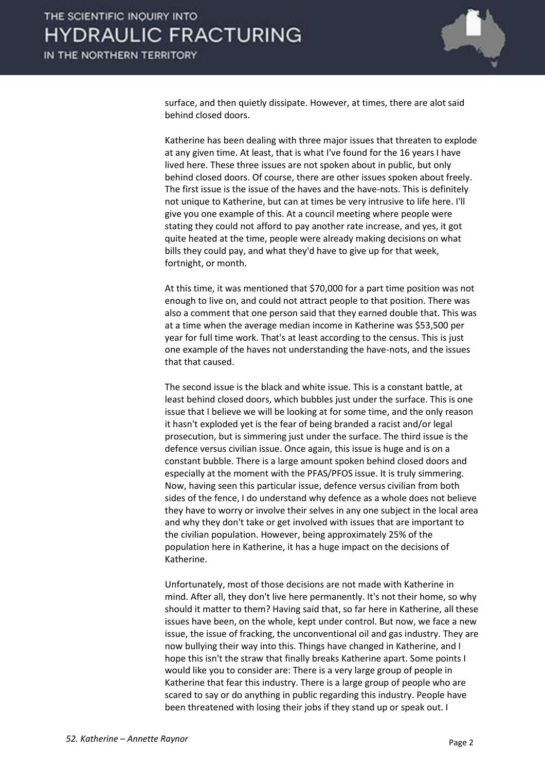

surface, and then quietly dissipate. However, at times, there are alot said behind closed doors.

 Katherine has been dealing with three major issues that threaten to explode at any given time. At least, that is what I've found for the 16 years I have lived here. These three issues are not spoken about in public, but only behind closed doors. Of course, there are other issues spoken about freely. The first issue is the issue of the haves and the have-nots. This is definitely not unique to Katherine, but can at times be very intrusive to life here. I'll give you one example of this. At a council meeting where people were stating they could not afford to pay another rate increase, and yes, it got quite heated at the time, people were already making decisions on what bills they could pay, and what they'd have to give up for that week, fortnight, or month.

 At this time, it was mentioned that \$70,000 for a part time position was not enough to live on, and could not attract people to that position. There was also a comment that one person said that they earned double that. This was at a time when the average median income in Katherine was \$53,500 per year for full time work. That's at least according to the census. This is just one example of the haves not understanding the have-nots, and the issues that that caused.

 The second issue is the black and white issue. This is a constant battle, at least behind closed doors, which bubbles just under the surface. This is one issue that I believe we will be looking at for some time, and the only reason it hasn't exploded yet is the fear of being branded a racist and/or legal prosecution, but is simmering just under the surface. The third issue is the defence versus civilian issue. Once again, this issue is huge and is on a constant bubble. There is a large amount spoken behind closed doors and especially at the moment with the PFAS/PFOS issue. It is truly simmering. Now, having seen this particular issue, defence versus civilian from both sides of the fence, I do understand why defence as a whole does not believe they have to worry or involve their selves in any one subject in the local area and why they don't take or get involved with issues that are important to the civilian population. However, being approximately 25% of the population here in Katherine, it has a huge impact on the decisions of Katherine.

 Unfortunately, most of those decisions are not made with Katherine in mind. After all, they don't live here permanently. It's not their home, so why should it matter to them? Having said that, so far here in Katherine, all these issues have been, on the whole, kept under control. But now, we face a new issue, the issue of fracking, the unconventional oil and gas industry. They are now bullying their way into this. Things have changed in Katherine, and I hope this isn't the straw that finally breaks Katherine apart. Some points I would like you to consider are: There is a very large group of people in Katherine that fear this industry. There is a large group of people who are scared to say or do anything in public regarding this industry. People have been threatened with losing their jobs if they stand up or speak out. I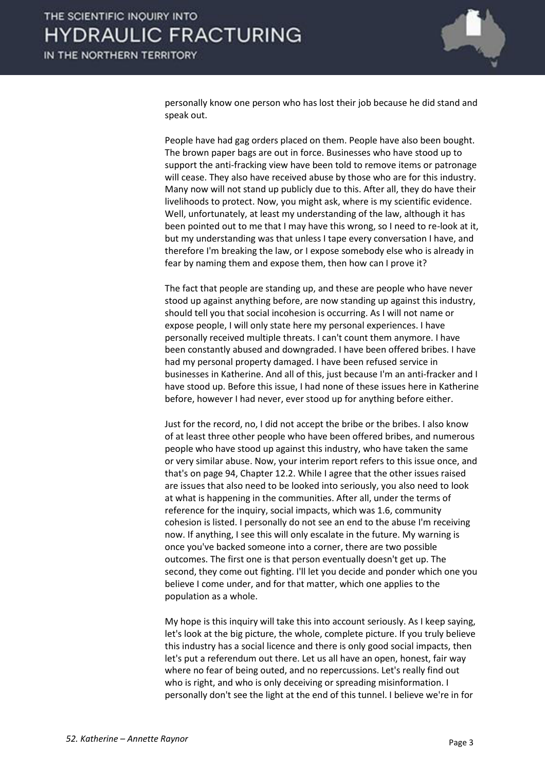

personally know one person who has lost their job because he did stand and speak out.

 People have had gag orders placed on them. People have also been bought. The brown paper bags are out in force. Businesses who have stood up to support the anti-fracking view have been told to remove items or patronage will cease. They also have received abuse by those who are for this industry. Many now will not stand up publicly due to this. After all, they do have their livelihoods to protect. Now, you might ask, where is my scientific evidence. Well, unfortunately, at least my understanding of the law, although it has been pointed out to me that I may have this wrong, so I need to re-look at it, but my understanding was that unless I tape every conversation I have, and therefore I'm breaking the law, or I expose somebody else who is already in fear by naming them and expose them, then how can I prove it?

 The fact that people are standing up, and these are people who have never stood up against anything before, are now standing up against this industry, should tell you that social incohesion is occurring. As I will not name or expose people, I will only state here my personal experiences. I have personally received multiple threats. I can't count them anymore. I have been constantly abused and downgraded. I have been offered bribes. I have had my personal property damaged. I have been refused service in businesses in Katherine. And all of this, just because I'm an anti-fracker and I have stood up. Before this issue, I had none of these issues here in Katherine before, however I had never, ever stood up for anything before either.

 Just for the record, no, I did not accept the bribe or the bribes. I also know of at least three other people who have been offered bribes, and numerous people who have stood up against this industry, who have taken the same or very similar abuse. Now, your interim report refers to this issue once, and that's on page 94, Chapter 12.2. While I agree that the other issues raised are issues that also need to be looked into seriously, you also need to look at what is happening in the communities. After all, under the terms of reference for the inquiry, social impacts, which was 1.6, community cohesion is listed. I personally do not see an end to the abuse I'm receiving now. If anything, I see this will only escalate in the future. My warning is once you've backed someone into a corner, there are two possible outcomes. The first one is that person eventually doesn't get up. The second, they come out fighting. I'll let you decide and ponder which one you believe I come under, and for that matter, which one applies to the population as a whole.

 My hope is this inquiry will take this into account seriously. As I keep saying, let's look at the big picture, the whole, complete picture. If you truly believe this industry has a social licence and there is only good social impacts, then let's put a referendum out there. Let us all have an open, honest, fair way where no fear of being outed, and no repercussions. Let's really find out who is right, and who is only deceiving or spreading misinformation. I personally don't see the light at the end of this tunnel. I believe we're in for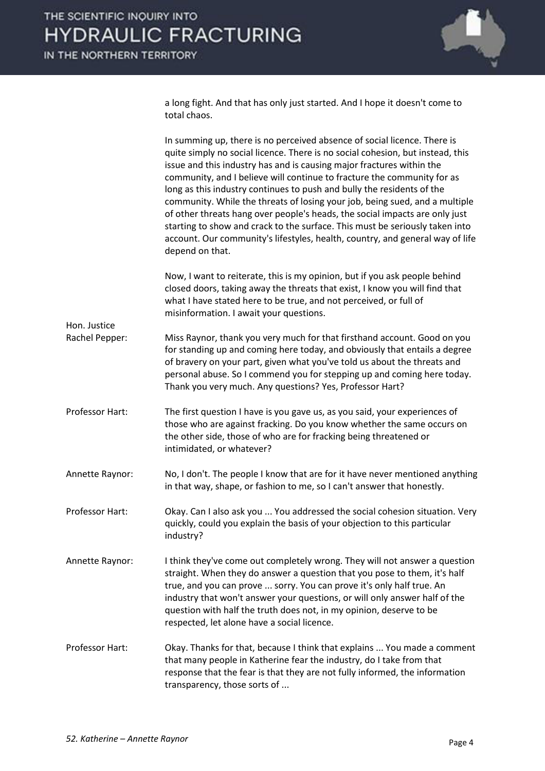

a long fight. And that has only just started. And I hope it doesn't come to total chaos.

|                                | In summing up, there is no perceived absence of social licence. There is<br>quite simply no social licence. There is no social cohesion, but instead, this<br>issue and this industry has and is causing major fractures within the<br>community, and I believe will continue to fracture the community for as<br>long as this industry continues to push and bully the residents of the<br>community. While the threats of losing your job, being sued, and a multiple<br>of other threats hang over people's heads, the social impacts are only just<br>starting to show and crack to the surface. This must be seriously taken into<br>account. Our community's lifestyles, health, country, and general way of life<br>depend on that. |
|--------------------------------|--------------------------------------------------------------------------------------------------------------------------------------------------------------------------------------------------------------------------------------------------------------------------------------------------------------------------------------------------------------------------------------------------------------------------------------------------------------------------------------------------------------------------------------------------------------------------------------------------------------------------------------------------------------------------------------------------------------------------------------------|
|                                | Now, I want to reiterate, this is my opinion, but if you ask people behind<br>closed doors, taking away the threats that exist, I know you will find that<br>what I have stated here to be true, and not perceived, or full of<br>misinformation. I await your questions.                                                                                                                                                                                                                                                                                                                                                                                                                                                                  |
| Hon. Justice<br>Rachel Pepper: | Miss Raynor, thank you very much for that firsthand account. Good on you<br>for standing up and coming here today, and obviously that entails a degree<br>of bravery on your part, given what you've told us about the threats and<br>personal abuse. So I commend you for stepping up and coming here today.<br>Thank you very much. Any questions? Yes, Professor Hart?                                                                                                                                                                                                                                                                                                                                                                  |
| Professor Hart:                | The first question I have is you gave us, as you said, your experiences of<br>those who are against fracking. Do you know whether the same occurs on<br>the other side, those of who are for fracking being threatened or<br>intimidated, or whatever?                                                                                                                                                                                                                                                                                                                                                                                                                                                                                     |
| Annette Raynor:                | No, I don't. The people I know that are for it have never mentioned anything<br>in that way, shape, or fashion to me, so I can't answer that honestly.                                                                                                                                                                                                                                                                                                                                                                                                                                                                                                                                                                                     |
| Professor Hart:                | Okay. Can I also ask you  You addressed the social cohesion situation. Very<br>quickly, could you explain the basis of your objection to this particular<br>industry?                                                                                                                                                                                                                                                                                                                                                                                                                                                                                                                                                                      |
| Annette Raynor:                | I think they've come out completely wrong. They will not answer a question<br>straight. When they do answer a question that you pose to them, it's half<br>true, and you can prove  sorry. You can prove it's only half true. An<br>industry that won't answer your questions, or will only answer half of the<br>question with half the truth does not, in my opinion, deserve to be<br>respected, let alone have a social licence.                                                                                                                                                                                                                                                                                                       |
| Professor Hart:                | Okay. Thanks for that, because I think that explains  You made a comment<br>that many people in Katherine fear the industry, do I take from that<br>response that the fear is that they are not fully informed, the information<br>transparency, those sorts of                                                                                                                                                                                                                                                                                                                                                                                                                                                                            |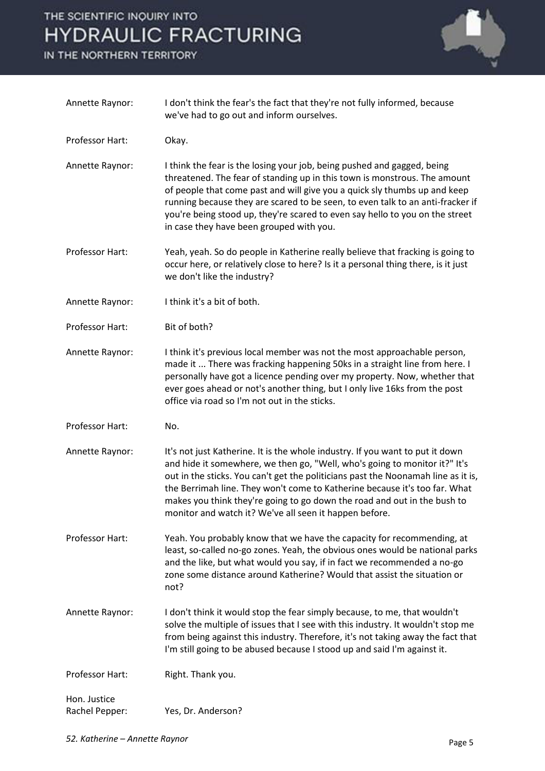# THE SCIENTIFIC INQUIRY INTO **HYDRAULIC FRACTURING**

IN THE NORTHERN TERRITORY



| Annette Raynor:                | I don't think the fear's the fact that they're not fully informed, because<br>we've had to go out and inform ourselves.                                                                                                                                                                                                                                                                                                                                              |
|--------------------------------|----------------------------------------------------------------------------------------------------------------------------------------------------------------------------------------------------------------------------------------------------------------------------------------------------------------------------------------------------------------------------------------------------------------------------------------------------------------------|
| Professor Hart:                | Okay.                                                                                                                                                                                                                                                                                                                                                                                                                                                                |
| Annette Raynor:                | I think the fear is the losing your job, being pushed and gagged, being<br>threatened. The fear of standing up in this town is monstrous. The amount<br>of people that come past and will give you a quick sly thumbs up and keep<br>running because they are scared to be seen, to even talk to an anti-fracker if<br>you're being stood up, they're scared to even say hello to you on the street<br>in case they have been grouped with you.                      |
| Professor Hart:                | Yeah, yeah. So do people in Katherine really believe that fracking is going to<br>occur here, or relatively close to here? Is it a personal thing there, is it just<br>we don't like the industry?                                                                                                                                                                                                                                                                   |
| Annette Raynor:                | I think it's a bit of both.                                                                                                                                                                                                                                                                                                                                                                                                                                          |
| Professor Hart:                | Bit of both?                                                                                                                                                                                                                                                                                                                                                                                                                                                         |
| Annette Raynor:                | I think it's previous local member was not the most approachable person,<br>made it  There was fracking happening 50ks in a straight line from here. I<br>personally have got a licence pending over my property. Now, whether that<br>ever goes ahead or not's another thing, but I only live 16ks from the post<br>office via road so I'm not out in the sticks.                                                                                                   |
| Professor Hart:                | No.                                                                                                                                                                                                                                                                                                                                                                                                                                                                  |
| Annette Raynor:                | It's not just Katherine. It is the whole industry. If you want to put it down<br>and hide it somewhere, we then go, "Well, who's going to monitor it?" It's<br>out in the sticks. You can't get the politicians past the Noonamah line as it is,<br>the Berrimah line. They won't come to Katherine because it's too far. What<br>makes you think they're going to go down the road and out in the bush to<br>monitor and watch it? We've all seen it happen before. |
| Professor Hart:                | Yeah. You probably know that we have the capacity for recommending, at<br>least, so-called no-go zones. Yeah, the obvious ones would be national parks<br>and the like, but what would you say, if in fact we recommended a no-go<br>zone some distance around Katherine? Would that assist the situation or<br>not?                                                                                                                                                 |
| Annette Raynor:                | I don't think it would stop the fear simply because, to me, that wouldn't<br>solve the multiple of issues that I see with this industry. It wouldn't stop me<br>from being against this industry. Therefore, it's not taking away the fact that<br>I'm still going to be abused because I stood up and said I'm against it.                                                                                                                                          |
| Professor Hart:                | Right. Thank you.                                                                                                                                                                                                                                                                                                                                                                                                                                                    |
| Hon. Justice<br>Rachel Pepper: | Yes, Dr. Anderson?                                                                                                                                                                                                                                                                                                                                                                                                                                                   |